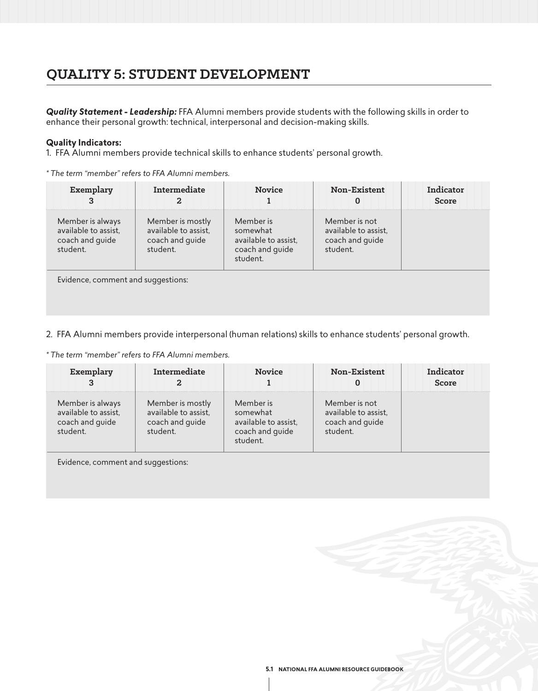# **QUALITY 5: STUDENT DEVELOPMENT**

*Quality Statement - Leadership:* FFA Alumni members provide students with the following skills in order to enhance their personal growth: technical, interpersonal and decision-making skills.

### **Quality Indicators:**

1. FFA Alumni members provide technical skills to enhance students' personal growth.

*\* The term "member" refers to FFA Alumni members.*

| Member is mostly<br>available to assist,<br>coach and guide<br>student. | Member is                          | Member is not                                                   |                                                     |
|-------------------------------------------------------------------------|------------------------------------|-----------------------------------------------------------------|-----------------------------------------------------|
|                                                                         | Evidence, comment and suggestions: | somewhat<br>available to assist,<br>coach and guide<br>student. | available to assist,<br>coach and guide<br>student. |

2. FFA Alumni members provide interpersonal (human relations) skills to enhance students' personal growth.

*\* The term "member" refers to FFA Alumni members.*

| Exemplary                                                               | Intermediate                                                            | <b>Novice</b>                                                                | Non-Existent                                                         | Indicator<br><b>Score</b> |
|-------------------------------------------------------------------------|-------------------------------------------------------------------------|------------------------------------------------------------------------------|----------------------------------------------------------------------|---------------------------|
| Member is always<br>available to assist,<br>coach and guide<br>student. | Member is mostly<br>available to assist,<br>coach and guide<br>student. | Member is<br>somewhat<br>available to assist,<br>coach and guide<br>student. | Member is not<br>available to assist,<br>coach and guide<br>student. |                           |

Evidence, comment and suggestions: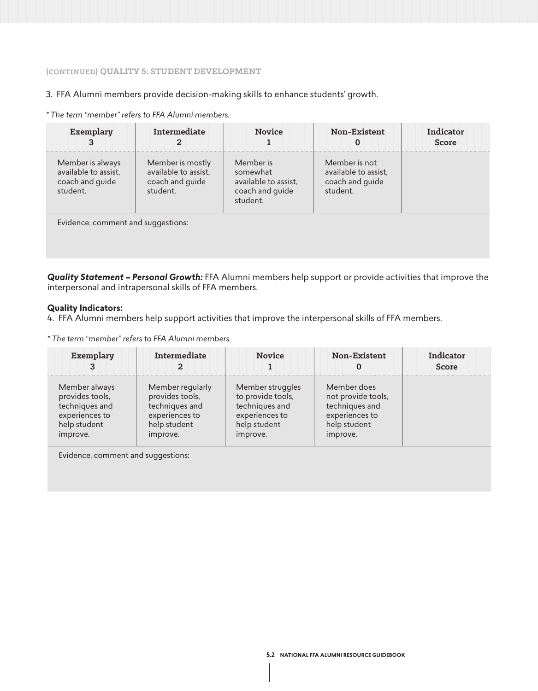#### **{CONTINUED} QUALITY 5: STUDENT DEVELOPMENT**

3. FFA Alumni members provide decision-making skills to enhance students' growth.

*\* The term "member" refers to FFA Alumni members.* 

| Exemplary<br>з                                                          | Intermediate                                                            | <b>Novice</b>                                                                | Non-Existent<br>O                                                    | Indicator<br><b>Score</b> |
|-------------------------------------------------------------------------|-------------------------------------------------------------------------|------------------------------------------------------------------------------|----------------------------------------------------------------------|---------------------------|
| Member is always<br>available to assist,<br>coach and guide<br>student. | Member is mostly<br>available to assist,<br>coach and guide<br>student. | Member is<br>somewhat<br>available to assist,<br>coach and guide<br>student. | Member is not<br>available to assist,<br>coach and guide<br>student. |                           |
| Evidence, comment and suggestions:                                      |                                                                         |                                                                              |                                                                      |                           |

*Quality Statement – Personal Growth:* FFA Alumni members help support or provide activities that improve the interpersonal and intrapersonal skills of FFA members.

#### **Quality Indicators:**

4. FFA Alumni members help support activities that improve the interpersonal skills of FFA members.

*\* The term "member" refers to FFA Alumni members.*

| Exemplary       | Intermediate     | <b>Novice</b>     | <b>Non-Existent</b> | Indicator<br><b>Score</b> |
|-----------------|------------------|-------------------|---------------------|---------------------------|
| Member always   | Member regularly | Member struggles  | Member does         |                           |
| provides tools, | provides tools,  | to provide tools, | not provide tools,  |                           |
| techniques and  | techniques and   | techniques and    | techniques and      |                           |
| experiences to  | experiences to   | experiences to    | experiences to      |                           |
| help student    | help student     | help student      | help student        |                           |
| improve.        | improve.         | improve.          | improve.            |                           |

Evidence, comment and suggestions: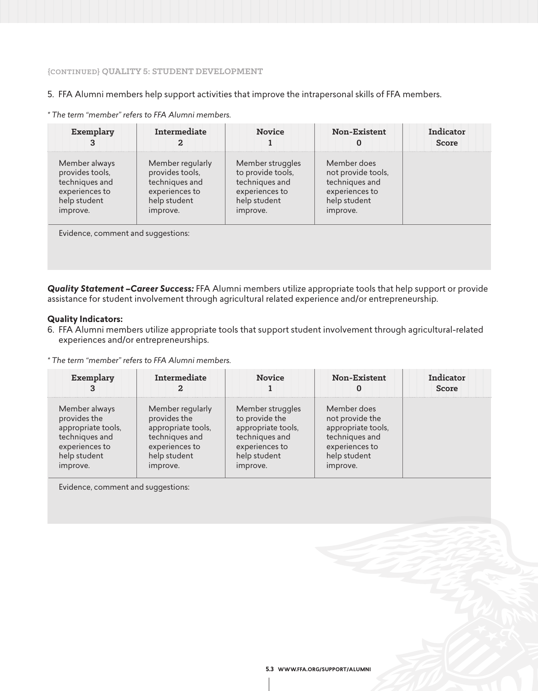### **{CONTINUED} QUALITY 5: STUDENT DEVELOPMENT**

#### 5. FFA Alumni members help support activities that improve the intrapersonal skills of FFA members.

| Exemplary       | Intermediate<br>2 | <b>Novice</b>     | Non-Existent<br>O  | Indicator<br><b>Score</b> |
|-----------------|-------------------|-------------------|--------------------|---------------------------|
| Member always   | Member regularly  | Member struggles  | Member does        |                           |
| provides tools, | provides tools,   | to provide tools, | not provide tools, |                           |
| techniques and  | techniques and    | techniques and    | techniques and     |                           |
| experiences to  | experiences to    | experiences to    | experiences to     |                           |
| help student    | help student      | help student      | help student       |                           |
| improve.        | improve.          | improve.          | improve.           |                           |

*\* The term "member" refers to FFA Alumni members.*

*Quality Statement –Career Success:* FFA Alumni members utilize appropriate tools that help support or provide assistance for student involvement through agricultural related experience and/or entrepreneurship.

#### **Quality Indicators:**

6. FFA Alumni members utilize appropriate tools that support student involvement through agricultural-related experiences and/or entrepreneurships.

*\* The term "member" refers to FFA Alumni members.*

| Exemplary          | Intermediate       | <b>Novice</b>      | Non-Existent       | Indicator<br>Score |
|--------------------|--------------------|--------------------|--------------------|--------------------|
| Member always      | Member regularly   | Member struggles   | Member does        |                    |
| provides the       | provides the       | to provide the     | not provide the    |                    |
| appropriate tools, | appropriate tools, | appropriate tools, | appropriate tools, |                    |
| techniques and     | techniques and     | techniques and     | techniques and     |                    |
| experiences to     | experiences to     | experiences to     | experiences to     |                    |
| help student       | help student       | help student       | help student       |                    |
| improve.           | improve.           | improve.           | improve.           |                    |

Evidence, comment and suggestions: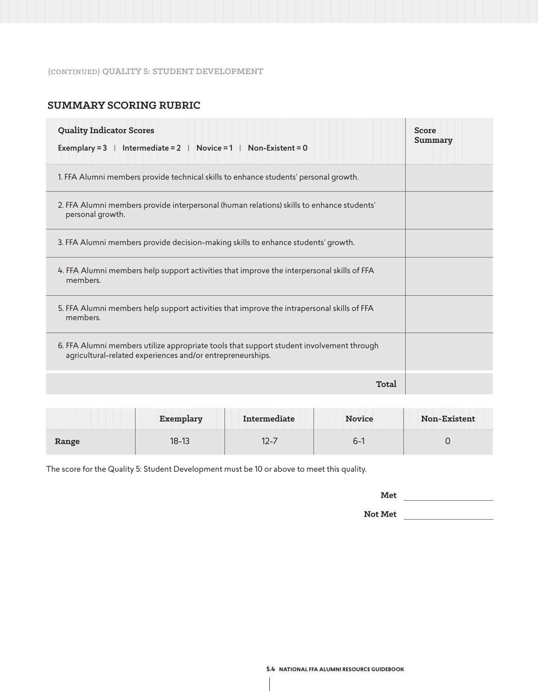### **{CONTINUED} QUALITY 5: STUDENT DEVELOPMENT**

# **SUMMARY SCORING RUBRIC**

| <b>Quality Indicator Scores</b><br>  Intermediate = 2   Novice = 1   Non-Existent = 0<br>Exemplary $=$ 3                                               | <b>Score</b><br>Summary |
|--------------------------------------------------------------------------------------------------------------------------------------------------------|-------------------------|
| 1. FFA Alumni members provide technical skills to enhance students' personal growth.                                                                   |                         |
| 2. FFA Alumni members provide interpersonal (human relations) skills to enhance students'<br>personal growth.                                          |                         |
| 3. FFA Alumni members provide decision-making skills to enhance students' growth.                                                                      |                         |
| 4. FFA Alumni members help support activities that improve the interpersonal skills of FFA<br>members.                                                 |                         |
| 5. FFA Alumni members help support activities that improve the intrapersonal skills of FFA<br>members.                                                 |                         |
| 6. FFA Alumni members utilize appropriate tools that support student involvement through<br>agricultural-related experiences and/or entrepreneurships. |                         |
| Total                                                                                                                                                  |                         |

|       |       | Intermediate | <b>Novice</b> | Non-Existent |
|-------|-------|--------------|---------------|--------------|
| Range | 18-13 |              | – מ           |              |

The score for the Quality 5: Student Development must be 10 or above to meet this quality.

**Not Met**